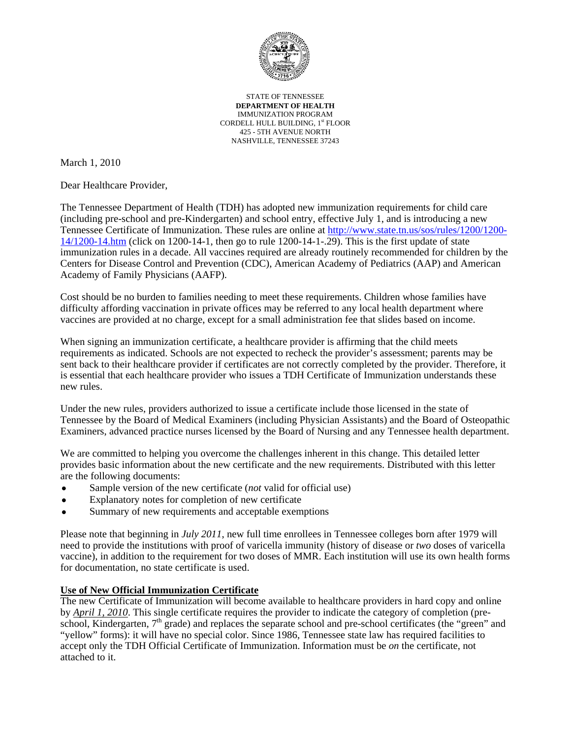

STATE OF TENNESSEE **DEPARTMENT OF HEALTH** IMMUNIZATION PROGRAM CORDELL HULL BUILDING, 1st FLOOR 425 - 5TH AVENUE NORTH NASHVILLE, TENNESSEE 37243

March 1, 2010

Dear Healthcare Provider,

The Tennessee Department of Health (TDH) has adopted new immunization requirements for child care (including pre-school and pre-Kindergarten) and school entry, effective July 1, and is introducing a new Tennessee Certificate of Immunization. These rules are online at [http://www.state.tn.us/sos/rules/1200/1200-](http://www.state.tn.us/sos/rules/1200/1200-14/1200-14.htm) [14/1200-14.htm](http://www.state.tn.us/sos/rules/1200/1200-14/1200-14.htm) (click on 1200-14-1, then go to rule 1200-14-1-.29). This is the first update of state immunization rules in a decade. All vaccines required are already routinely recommended for children by the Centers for Disease Control and Prevention (CDC), American Academy of Pediatrics (AAP) and American Academy of Family Physicians (AAFP).

Cost should be no burden to families needing to meet these requirements. Children whose families have difficulty affording vaccination in private offices may be referred to any local health department where vaccines are provided at no charge, except for a small administration fee that slides based on income.

When signing an immunization certificate, a healthcare provider is affirming that the child meets requirements as indicated. Schools are not expected to recheck the provider's assessment; parents may be sent back to their healthcare provider if certificates are not correctly completed by the provider. Therefore, it is essential that each healthcare provider who issues a TDH Certificate of Immunization understands these new rules.

Under the new rules, providers authorized to issue a certificate include those licensed in the state of Tennessee by the Board of Medical Examiners (including Physician Assistants) and the Board of Osteopathic Examiners, advanced practice nurses licensed by the Board of Nursing and any Tennessee health department.

We are committed to helping you overcome the challenges inherent in this change. This detailed letter provides basic information about the new certificate and the new requirements. Distributed with this letter are the following documents:

- Sample version of the new certificate *(not* valid for official use)
- Explanatory notes for completion of new certificate
- Summary of new requirements and acceptable exemptions

Please note that beginning in *July 2011*, new full time enrollees in Tennessee colleges born after 1979 will need to provide the institutions with proof of varicella immunity (history of disease or *two* doses of varicella vaccine), in addition to the requirement for two doses of MMR. Each institution will use its own health forms for documentation, no state certificate is used.

#### **Use of New Official Immunization Certificate**

The new Certificate of Immunization will become available to healthcare providers in hard copy and online by *April 1, 2010*. This single certificate requires the provider to indicate the category of completion (preschool, Kindergarten, 7<sup>th</sup> grade) and replaces the separate school and pre-school certificates (the "green" and "yellow" forms): it will have no special color. Since 1986, Tennessee state law has required facilities to accept only the TDH Official Certificate of Immunization. Information must be *on* the certificate, not attached to it.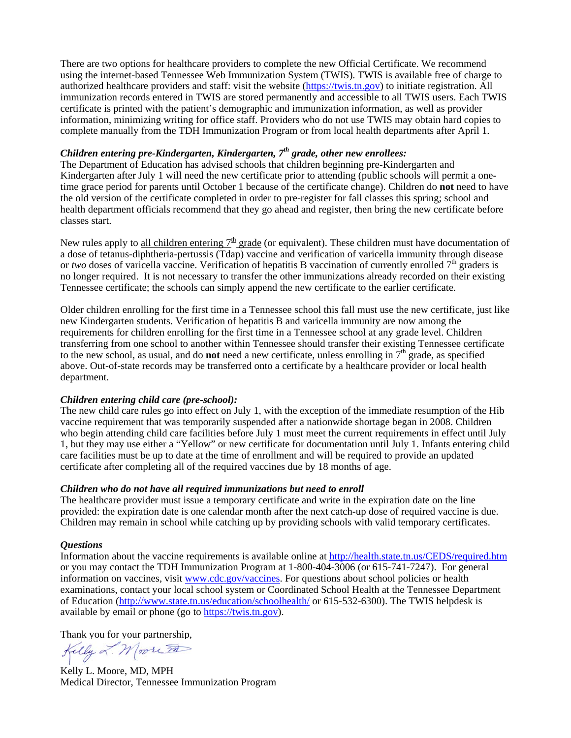There are two options for healthcare providers to complete the new Official Certificate. We recommend using the internet-based Tennessee Web Immunization System (TWIS). TWIS is available free of charge to authorized healthcare providers and staff: visit the website [\(https://twis.tn.gov\)](https://twis.tn.gov/) to initiate registration. All immunization records entered in TWIS are stored permanently and accessible to all TWIS users. Each TWIS certificate is printed with the patient's demographic and immunization information, as well as provider information, minimizing writing for office staff. Providers who do not use TWIS may obtain hard copies to complete manually from the TDH Immunization Program or from local health departments after April 1.

### *Children entering pre-Kindergarten, Kindergarten, 7th grade, other new enrollees:*

The Department of Education has advised schools that children beginning pre-Kindergarten and Kindergarten after July 1 will need the new certificate prior to attending (public schools will permit a onetime grace period for parents until October 1 because of the certificate change). Children do **not** need to have the old version of the certificate completed in order to pre-register for fall classes this spring; school and health department officials recommend that they go ahead and register, then bring the new certificate before classes start.

New rules apply to all children entering  $7<sup>th</sup>$  grade (or equivalent). These children must have documentation of a dose of tetanus-diphtheria-pertussis (Tdap) vaccine and verification of varicella immunity through disease or *two* doses of varicella vaccine. Verification of hepatitis B vaccination of currently enrolled 7<sup>th</sup> graders is no longer required. It is not necessary to transfer the other immunizations already recorded on their existing Tennessee certificate; the schools can simply append the new certificate to the earlier certificate.

Older children enrolling for the first time in a Tennessee school this fall must use the new certificate, just like new Kindergarten students. Verification of hepatitis B and varicella immunity are now among the requirements for children enrolling for the first time in a Tennessee school at any grade level. Children transferring from one school to another within Tennessee should transfer their existing Tennessee certificate to the new school, as usual, and do **not** need a new certificate, unless enrolling in  $7<sup>th</sup>$  grade, as specified above. Out-of-state records may be transferred onto a certificate by a healthcare provider or local health department.

#### *Children entering child care (pre-school):*

The new child care rules go into effect on July 1, with the exception of the immediate resumption of the Hib vaccine requirement that was temporarily suspended after a nationwide shortage began in 2008. Children who begin attending child care facilities before July 1 must meet the current requirements in effect until July 1, but they may use either a "Yellow" or new certificate for documentation until July 1. Infants entering child care facilities must be up to date at the time of enrollment and will be required to provide an updated certificate after completing all of the required vaccines due by 18 months of age.

#### *Children who do not have all required immunizations but need to enroll*

The healthcare provider must issue a temporary certificate and write in the expiration date on the line provided: the expiration date is one calendar month after the next catch-up dose of required vaccine is due. Children may remain in school while catching up by providing schools with valid temporary certificates.

#### *Questions*

Information about the vaccine requirements is available online at<http://health.state.tn.us/CEDS/required.htm> or you may contact the TDH Immunization Program at 1-800-404-3006 (or 615-741-7247). For general information on vaccines, visit [www.cdc.gov/vaccines](http://www.cdc.gov/vaccines). For questions about school policies or health examinations, contact your local school system or Coordinated School Health at the Tennessee Department of Education (<http://www.state.tn.us/education/schoolhealth/> or 615-532-6300). The TWIS helpdesk is available by email or phone (go to [https://twis.tn.gov](https://twis.tn.gov/)).

Thank you for your partnership,<br> $Kelly \propto M$  or  $\overline{Z}$ 

Kelly L. Moore, MD, MPH Medical Director, Tennessee Immunization Program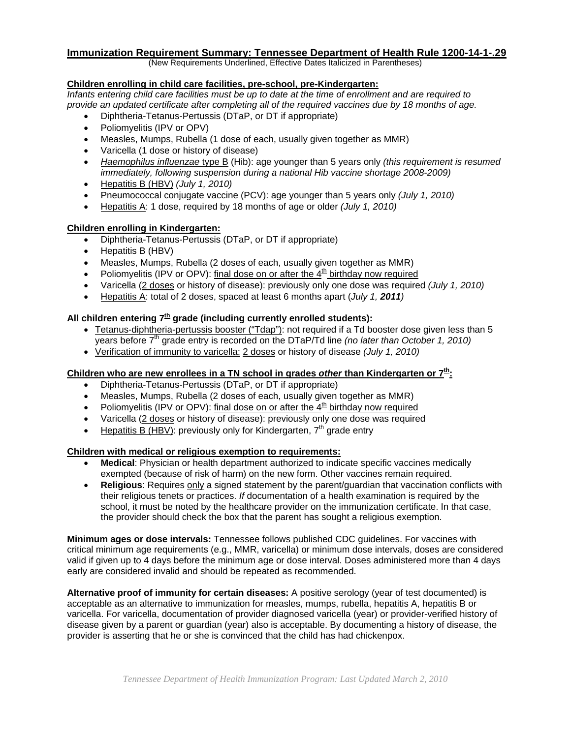# **Immunization Requirement Summary: Tennessee Department of Health Rule 1200-14-1-.29** (New Requirements Underlined, Effective Dates Italicized in Parentheses)

#### **Children enrolling in child care facilities, pre-school, pre-Kindergarten:**

*Infants entering child care facilities must be up to date at the time of enrollment and are required to provide an updated certificate after completing all of the required vaccines due by 18 months of age.* 

- Diphtheria-Tetanus-Pertussis (DTaP, or DT if appropriate)
- Poliomyelitis (IPV or OPV)
- Measles, Mumps, Rubella (1 dose of each, usually given together as MMR)
- Varicella (1 dose or history of disease)
- *Haemophilus influenzae* type B (Hib): age younger than 5 years only *(this requirement is resumed immediately, following suspension during a national Hib vaccine shortage 2008-2009)*
- Hepatitis B (HBV) *(July 1, 2010)*
- Pneumococcal conjugate vaccine (PCV): age younger than 5 years only *(July 1, 2010)*
- Hepatitis A: 1 dose, required by 18 months of age or older *(July 1, 2010)*

#### **Children enrolling in Kindergarten:**

- Diphtheria-Tetanus-Pertussis (DTaP, or DT if appropriate)
- Hepatitis B (HBV)
- Measles, Mumps, Rubella (2 doses of each, usually given together as MMR)
- Poliomyelitis (IPV or OPV): final dose on or after the  $4<sup>th</sup>$  birthday now required
- Varicella (2 doses or history of disease): previously only one dose was required *(July 1, 2010)*
- Hepatitis A: total of 2 doses, spaced at least 6 months apart (*July 1, 2011)*

#### All children entering 7<sup>th</sup> grade (including currently enrolled students):

- Tetanus-diphtheria-pertussis booster ("Tdap"): not required if a Td booster dose given less than 5 years before 7th grade entry is recorded on the DTaP/Td line *(no later than October 1, 2010)*
- Verification of immunity to varicella: 2 doses or history of disease *(July 1, 2010)*

#### **Children who are new enrollees in a TN school in grades** *other* **than Kindergarten or 7th:**

- Diphtheria-Tetanus-Pertussis (DTaP, or DT if appropriate)
- Measles, Mumps, Rubella (2 doses of each, usually given together as MMR)
- Poliomyelitis (IPV or OPV): final dose on or after the  $4<sup>th</sup>$  birthday now required
- Varicella (2 doses or history of disease): previously only one dose was required
- Hepatitis B (HBV): previously only for Kindergarten,  $7<sup>th</sup>$  grade entry

#### **Children with medical or religious exemption to requirements:**

- **Medical**: Physician or health department authorized to indicate specific vaccines medically exempted (because of risk of harm) on the new form. Other vaccines remain required.
- **Religious**: Requires only a signed statement by the parent/guardian that vaccination conflicts with their religious tenets or practices. *If* documentation of a health examination is required by the school, it must be noted by the healthcare provider on the immunization certificate. In that case, the provider should check the box that the parent has sought a religious exemption.

**Minimum ages or dose intervals:** Tennessee follows published CDC guidelines. For vaccines with critical minimum age requirements (e.g., MMR, varicella) or minimum dose intervals, doses are considered valid if given up to 4 days before the minimum age or dose interval. Doses administered more than 4 days early are considered invalid and should be repeated as recommended.

**Alternative proof of immunity for certain diseases:** A positive serology (year of test documented) is acceptable as an alternative to immunization for measles, mumps, rubella, hepatitis A, hepatitis B or varicella. For varicella, documentation of provider diagnosed varicella (year) or provider-verified history of disease given by a parent or guardian (year) also is acceptable. By documenting a history of disease, the provider is asserting that he or she is convinced that the child has had chickenpox.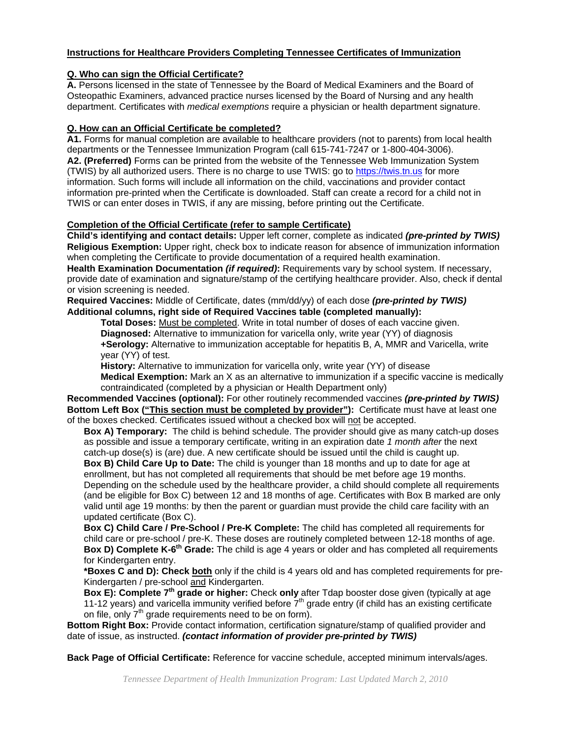#### **Instructions for Healthcare Providers Completing Tennessee Certificates of Immunization**

#### **Q. Who can sign the Official Certificate?**

**A.** Persons licensed in the state of Tennessee by the Board of Medical Examiners and the Board of Osteopathic Examiners, advanced practice nurses licensed by the Board of Nursing and any health department. Certificates with *medical exemptions* require a physician or health department signature.

#### **Q. How can an Official Certificate be completed?**

**A1.** Forms for manual completion are available to healthcare providers (not to parents) from local health departments or the Tennessee Immunization Program (call 615-741-7247 or 1-800-404-3006). **A2. (Preferred)** Forms can be printed from the website of the Tennessee Web Immunization System (TWIS) by all authorized users. There is no charge to use TWIS: go to [https://twis.tn.us](https://twis.tn.us/) for more information. Such forms will include all information on the child, vaccinations and provider contact information pre-printed when the Certificate is downloaded. Staff can create a record for a child not in TWIS or can enter doses in TWIS, if any are missing, before printing out the Certificate.

#### **Completion of the Official Certificate (refer to sample Certificate)**

**Child's identifying and contact details:** Upper left corner, complete as indicated *(pre-printed by TWIS)* **Religious Exemption:** Upper right, check box to indicate reason for absence of immunization information when completing the Certificate to provide documentation of a required health examination.

**Health Examination Documentation** *(if required)***:** Requirements vary by school system. If necessary, provide date of examination and signature/stamp of the certifying healthcare provider. Also, check if dental or vision screening is needed.

**Required Vaccines:** Middle of Certificate, dates (mm/dd/yy) of each dose *(pre-printed by TWIS)*  **Additional columns, right side of Required Vaccines table (completed manually):**

**Total Doses:** Must be completed. Write in total number of doses of each vaccine given. **Diagnosed:** Alternative to immunization for varicella only, write year (YY) of diagnosis **+Serology:** Alternative to immunization acceptable for hepatitis B, A, MMR and Varicella, write year (YY) of test.

**History:** Alternative to immunization for varicella only, write year (YY) of disease

**Medical Exemption:** Mark an X as an alternative to immunization if a specific vaccine is medically contraindicated (completed by a physician or Health Department only)

**Recommended Vaccines (optional):** For other routinely recommended vaccines *(pre-printed by TWIS)*  **Bottom Left Box ("This section must be completed by provider"):** Certificate must have at least one of the boxes checked. Certificates issued without a checked box will not be accepted.

**Box A) Temporary:** The child is behind schedule. The provider should give as many catch-up doses as possible and issue a temporary certificate, writing in an expiration date *1 month after* the next catch-up dose(s) is (are) due. A new certificate should be issued until the child is caught up.

**Box B) Child Care Up to Date:** The child is younger than 18 months and up to date for age at enrollment, but has not completed all requirements that should be met before age 19 months. Depending on the schedule used by the healthcare provider, a child should complete all requirements (and be eligible for Box C) between 12 and 18 months of age. Certificates with Box B marked are only valid until age 19 months: by then the parent or guardian must provide the child care facility with an updated certificate (Box C).

**Box C) Child Care / Pre-School / Pre-K Complete:** The child has completed all requirements for child care or pre-school / pre-K. These doses are routinely completed between 12-18 months of age. **Box D) Complete K-6th Grade:** The child is age 4 years or older and has completed all requirements for Kindergarten entry.

**\*Boxes C and D): Check both** only if the child is 4 years old and has completed requirements for pre-Kindergarten / pre-school and Kindergarten.

**Box E): Complete 7<sup>th</sup> grade or higher:** Check only after Tdap booster dose given (typically at age 11-12 years) and varicella immunity verified before  $7<sup>th</sup>$  grade entry (if child has an existing certificate on file, only  $7<sup>th</sup>$  grade requirements need to be on form).

**Bottom Right Box:** Provide contact information, certification signature/stamp of qualified provider and date of issue, as instructed. *(contact information of provider pre-printed by TWIS)*

**Back Page of Official Certificate:** Reference for vaccine schedule, accepted minimum intervals/ages.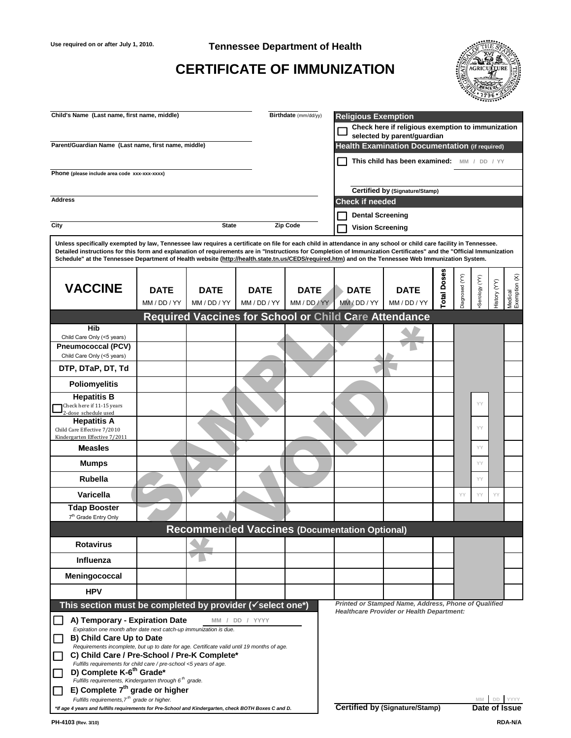#### **Use required on or after July 1, 2010. Tennessee Department of Health**

## **CERTIFICATE OF IMMUNIZATION**



| Child's Name (Last name, first name, middle)                                                                                                                                                                                                                                                                                                                                                                                                                                                         |              |                                                     |                                                       | Birthdate (mm/dd/yy)           | <b>Religious Exemption</b><br>Check here if religious exemption to immunization<br>selected by parent/quardian |                                                      |            |                |               |              |                          |  |
|------------------------------------------------------------------------------------------------------------------------------------------------------------------------------------------------------------------------------------------------------------------------------------------------------------------------------------------------------------------------------------------------------------------------------------------------------------------------------------------------------|--------------|-----------------------------------------------------|-------------------------------------------------------|--------------------------------|----------------------------------------------------------------------------------------------------------------|------------------------------------------------------|------------|----------------|---------------|--------------|--------------------------|--|
| Parent/Guardian Name (Last name, first name, middle)                                                                                                                                                                                                                                                                                                                                                                                                                                                 |              |                                                     |                                                       |                                |                                                                                                                | Health Examination Documentation (if required)       |            |                |               |              |                          |  |
|                                                                                                                                                                                                                                                                                                                                                                                                                                                                                                      |              |                                                     |                                                       |                                |                                                                                                                | This child has been examined: MM / DD / YY           |            |                |               |              |                          |  |
| Phone (please include area code xxx-xxx-xxxx)                                                                                                                                                                                                                                                                                                                                                                                                                                                        |              |                                                     |                                                       |                                |                                                                                                                |                                                      |            |                |               |              |                          |  |
| <b>Address</b>                                                                                                                                                                                                                                                                                                                                                                                                                                                                                       |              |                                                     |                                                       | Certified by (Signature/Stamp) |                                                                                                                |                                                      |            |                |               |              |                          |  |
|                                                                                                                                                                                                                                                                                                                                                                                                                                                                                                      |              |                                                     |                                                       |                                | <b>Check if needed</b>                                                                                         |                                                      |            |                |               |              |                          |  |
| City                                                                                                                                                                                                                                                                                                                                                                                                                                                                                                 |              | <b>Zip Code</b>                                     | <b>Dental Screening</b><br><b>Vision Screening</b>    |                                |                                                                                                                |                                                      |            |                |               |              |                          |  |
|                                                                                                                                                                                                                                                                                                                                                                                                                                                                                                      |              |                                                     |                                                       |                                |                                                                                                                |                                                      |            |                |               |              |                          |  |
| Unless specifically exempted by law, Tennessee law requires a certificate on file for each child in attendance in any school or child care facility in Tennessee.<br>Detailed instructions for this form and explanation of requirements are in "Instructions for Completion of Immunization Certificates" and the "Official Immunization<br>Schedule" at the Tennessee Department of Health website (http://health.state.tn.us/CEDS/required.htm) and on the Tennessee Web Immunization System.     |              |                                                     |                                                       |                                |                                                                                                                |                                                      |            |                |               |              |                          |  |
|                                                                                                                                                                                                                                                                                                                                                                                                                                                                                                      |              |                                                     |                                                       |                                |                                                                                                                |                                                      | otal Doses |                |               |              |                          |  |
| <b>VACCINE</b>                                                                                                                                                                                                                                                                                                                                                                                                                                                                                       | <b>DATE</b>  | <b>DATE</b>                                         | <b>DATE</b>                                           | <b>DATE</b>                    | <b>DATE</b>                                                                                                    | <b>DATE</b>                                          |            | Diagnosed (YY) | Serology (YY) | History (YY) | Medical<br>Exemption (X) |  |
|                                                                                                                                                                                                                                                                                                                                                                                                                                                                                                      | MM / DD / YY | MM / DD / YY                                        | MM / DD / YY                                          | MM / DD / YY                   | MM / DD / YY                                                                                                   | MM / DD / YY                                         |            |                |               |              |                          |  |
|                                                                                                                                                                                                                                                                                                                                                                                                                                                                                                      |              |                                                     | Required Vaccines for School or Child Care Attendance |                                |                                                                                                                |                                                      |            |                |               |              |                          |  |
| <b>Hib</b><br>Child Care Only (<5 years)                                                                                                                                                                                                                                                                                                                                                                                                                                                             |              |                                                     |                                                       |                                |                                                                                                                |                                                      |            |                |               |              |                          |  |
| <b>Pneumococcal (PCV)</b><br>Child Care Only (<5 years)                                                                                                                                                                                                                                                                                                                                                                                                                                              |              |                                                     |                                                       |                                |                                                                                                                |                                                      |            |                |               |              |                          |  |
| DTP, DTaP, DT, Td                                                                                                                                                                                                                                                                                                                                                                                                                                                                                    |              |                                                     |                                                       |                                |                                                                                                                |                                                      |            |                |               |              |                          |  |
| <b>Poliomyelitis</b>                                                                                                                                                                                                                                                                                                                                                                                                                                                                                 |              |                                                     |                                                       |                                |                                                                                                                |                                                      |            |                |               |              |                          |  |
| <b>Hepatitis B</b>                                                                                                                                                                                                                                                                                                                                                                                                                                                                                   |              |                                                     |                                                       |                                |                                                                                                                |                                                      |            |                |               |              |                          |  |
| Check here if 11-15 years<br>2-dose schedule used                                                                                                                                                                                                                                                                                                                                                                                                                                                    |              |                                                     |                                                       |                                |                                                                                                                |                                                      |            |                | YY            |              |                          |  |
| <b>Hepatitis A</b><br>Child Care Effective 7/2010<br>Kindergarten Effective 7/2011                                                                                                                                                                                                                                                                                                                                                                                                                   |              |                                                     |                                                       |                                |                                                                                                                |                                                      |            |                | YY            |              |                          |  |
| <b>Measles</b>                                                                                                                                                                                                                                                                                                                                                                                                                                                                                       |              |                                                     |                                                       |                                |                                                                                                                |                                                      |            |                | YY            |              |                          |  |
| <b>Mumps</b>                                                                                                                                                                                                                                                                                                                                                                                                                                                                                         |              |                                                     |                                                       |                                |                                                                                                                |                                                      |            |                | YY            |              |                          |  |
| Rubella                                                                                                                                                                                                                                                                                                                                                                                                                                                                                              |              |                                                     |                                                       |                                |                                                                                                                |                                                      |            |                | YY            |              |                          |  |
| Varicella                                                                                                                                                                                                                                                                                                                                                                                                                                                                                            |              |                                                     |                                                       |                                |                                                                                                                |                                                      |            | YY             | YY            | YY           |                          |  |
| <b>Tdap Booster</b>                                                                                                                                                                                                                                                                                                                                                                                                                                                                                  |              |                                                     |                                                       |                                |                                                                                                                |                                                      |            |                |               |              |                          |  |
| 7 <sup>th</sup> Grade Entry Only<br><b>Recommended Vaccines (Documentation Optional)</b>                                                                                                                                                                                                                                                                                                                                                                                                             |              |                                                     |                                                       |                                |                                                                                                                |                                                      |            |                |               |              |                          |  |
| <b>Rotavirus</b>                                                                                                                                                                                                                                                                                                                                                                                                                                                                                     |              |                                                     |                                                       |                                |                                                                                                                |                                                      |            |                |               |              |                          |  |
| Influenza                                                                                                                                                                                                                                                                                                                                                                                                                                                                                            |              |                                                     |                                                       |                                |                                                                                                                |                                                      |            |                |               |              |                          |  |
| Meningococcal                                                                                                                                                                                                                                                                                                                                                                                                                                                                                        |              |                                                     |                                                       |                                |                                                                                                                |                                                      |            |                |               |              |                          |  |
| <b>HPV</b>                                                                                                                                                                                                                                                                                                                                                                                                                                                                                           |              |                                                     |                                                       |                                |                                                                                                                |                                                      |            |                |               |              |                          |  |
| This section must be completed by provider ( $\checkmark$ select one*)                                                                                                                                                                                                                                                                                                                                                                                                                               |              |                                                     |                                                       |                                |                                                                                                                | Printed or Stamped Name, Address, Phone of Qualified |            |                |               |              |                          |  |
| A) Temporary - Expiration Date<br>Expiration one month after date next catch-up immunization is due.<br><b>B) Child Care Up to Date</b><br>Requirements incomplete, but up to date for age. Certificate valid until 19 months of age.<br>C) Child Care / Pre-School / Pre-K Complete*<br>Fulfills requirements for child care / pre-school <5 years of age.<br>D) Complete K-6 <sup>th</sup> Grade*<br>Fulfills requirements, Kindergarten through $6th$ grade.<br>E) Complete $7th$ grade or higher |              | MM                                                  | / DD / YYYY                                           |                                |                                                                                                                | <b>Healthcare Provider or Health Department:</b>     |            |                |               |              |                          |  |
| Fulfills requirements, 7 <sup>th</sup> grade or higher.                                                                                                                                                                                                                                                                                                                                                                                                                                              |              |                                                     |                                                       |                                |                                                                                                                |                                                      |            |                |               |              |                          |  |
| *If age 4 years and fulfills requirements for Pre-School and Kindergarten, check BOTH Boxes C and D.                                                                                                                                                                                                                                                                                                                                                                                                 |              | <b>Certified by (Signature/Stamp)</b><br>Date of Is |                                                       |                                |                                                                                                                |                                                      |            |                |               |              |                          |  |

**RDA-N/A**